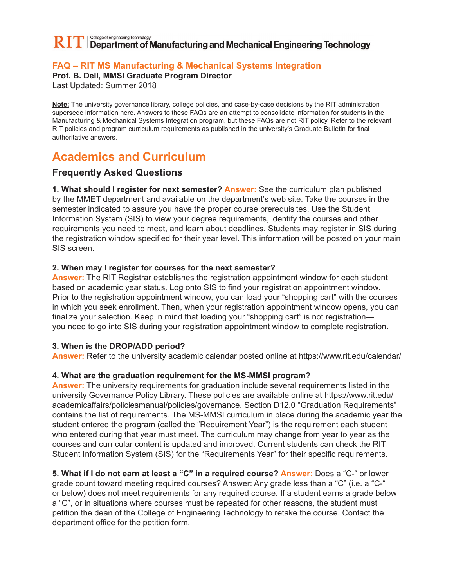#### College of Engineering Technology  $\mathbf{RIT}$  Department of Manufacturing and Mechanical Engineering Technology

## **FAQ – RIT MS Manufacturing & Mechanical Systems Integration**

**Prof. B. Dell, MMSI Graduate Program Director**

Last Updated: Summer 2018

**Note:** The university governance library, college policies, and case-by-case decisions by the RIT administration supersede information here. Answers to these FAQs are an attempt to consolidate information for students in the Manufacturing & Mechanical Systems Integration program, but these FAQs are not RIT policy. Refer to the relevant RIT policies and program curriculum requirements as published in the university's Graduate Bulletin for final authoritative answers.

# **Academics and Curriculum**

## **Frequently Asked Questions**

**1. What should I register for next semester? Answer:** See the curriculum plan published by the MMET department and available on the department's web site. Take the courses in the semester indicated to assure you have the proper course prerequisites. Use the Student Information System (SIS) to view your degree requirements, identify the courses and other requirements you need to meet, and learn about deadlines. Students may register in SIS during the registration window specified for their year level. This information will be posted on your main SIS screen.

#### **2. When may I register for courses for the next semester?**

**Answer:** The RIT Registrar establishes the registration appointment window for each student based on academic year status. Log onto SIS to find your registration appointment window. Prior to the registration appointment window, you can load your "shopping cart" with the courses in which you seek enrollment. Then, when your registration appointment window opens, you can finalize your selection. Keep in mind that loading your "shopping cart" is not registration you need to go into SIS during your registration appointment window to complete registration.

#### **3. When is the DROP/ADD period?**

**Answer:** Refer to the university academic calendar posted online at https://www.rit.edu/calendar/

#### **4. What are the graduation requirement for the MS-MMSI program?**

**Answer:** The university requirements for graduation include several requirements listed in the university Governance Policy Library. These policies are available online at https://www.rit.edu/ academicaffairs/policiesmanual/policies/governance. Section D12.0 "Graduation Requirements" contains the list of requirements. The MS-MMSI curriculum in place during the academic year the student entered the program (called the "Requirement Year") is the requirement each student who entered during that year must meet. The curriculum may change from year to year as the courses and curricular content is updated and improved. Current students can check the RIT Student Information System (SIS) for the "Requirements Year" for their specific requirements.

**5. What if I do not earn at least a "C" in a required course? Answer:** Does a "C-" or lower grade count toward meeting required courses? Answer: Any grade less than a "C" (i.e. a "C-" or below) does not meet requirements for any required course. If a student earns a grade below

a "C", or in situations where courses must be repeated for other reasons, the student must petition the dean of the College of Engineering Technology to retake the course. Contact the department office for the petition form.